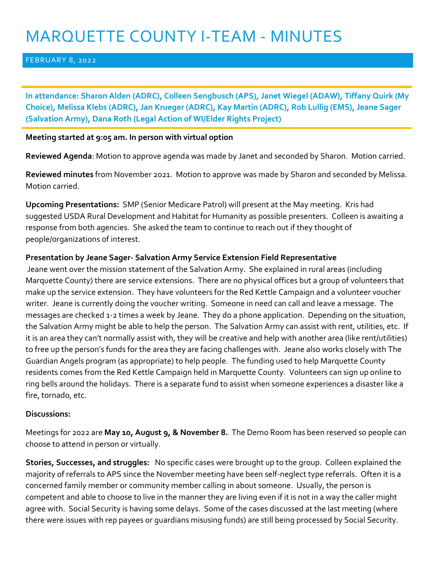# MARQUETTE COUNTY I-TEAM - MINUTES

### FEBRUARY 8, 2022

**In attendance: Sharon Alden (ADRC), Colleen Sengbusch (APS), Janet Wiegel (ADAW), Tiffany Quirk (My Choice), Melissa Klebs (ADRC), Jan Krueger (ADRC), Kay Martin (ADRC), Rob Lullig (EMS), Jeane Sager (Salvation Army), Dana Roth (Legal Action of WI/Elder Rights Project)**

## **Meeting started at 9:05 am. In person with virtual option**

**Reviewed Agenda**: Motion to approve agenda was made by Janet and seconded by Sharon. Motion carried.

**Reviewed minutes** from November 2021. Motion to approve was made by Sharon and seconded by Melissa. Motion carried.

**Upcoming Presentations:** SMP (Senior Medicare Patrol) will present at the May meeting. Kris had suggested USDA Rural Development and Habitat for Humanity as possible presenters. Colleen is awaiting a response from both agencies. She asked the team to continue to reach out if they thought of people/organizations of interest.

## **Presentation by Jeane Sager- Salvation Army Service Extension Field Representative**

Jeane went over the mission statement of the Salvation Army. She explained in rural areas (including Marquette County) there are service extensions. There are no physical offices but a group of volunteers that make up the service extension. They have volunteers for the Red Kettle Campaign and a volunteer voucher writer. Jeane is currently doing the voucher writing. Someone in need can call and leave a message. The messages are checked 1-2 times a week by Jeane. They do a phone application. Depending on the situation, the Salvation Army might be able to help the person. The Salvation Army can assist with rent, utilities, etc. If it is an area they can't normally assist with, they will be creative and help with another area (like rent/utilities) to free up the person's funds for the area they are facing challenges with. Jeane also works closely with The Guardian Angels program (as appropriate) to help people. The funding used to help Marquette County residents comes from the Red Kettle Campaign held in Marquette County. Volunteers can sign up online to ring bells around the holidays. There is a separate fund to assist when someone experiences a disaster like a fire, tornado, etc.

### **Discussions:**

Meetings for 2022 are **May 10, August 9, & November 8.** The Demo Room has been reserved so people can choose to attend in person or virtually.

**Stories, Successes, and struggles:** No specific cases were brought up to the group. Colleen explained the majority of referrals to APS since the November meeting have been self-neglect type referrals. Often it is a concerned family member or community member calling in about someone. Usually, the person is competent and able to choose to live in the manner they are living even if it is not in a way the caller might agree with. Social Security is having some delays. Some of the cases discussed at the last meeting (where there were issues with rep payees or guardians misusing funds) are still being processed by Social Security.